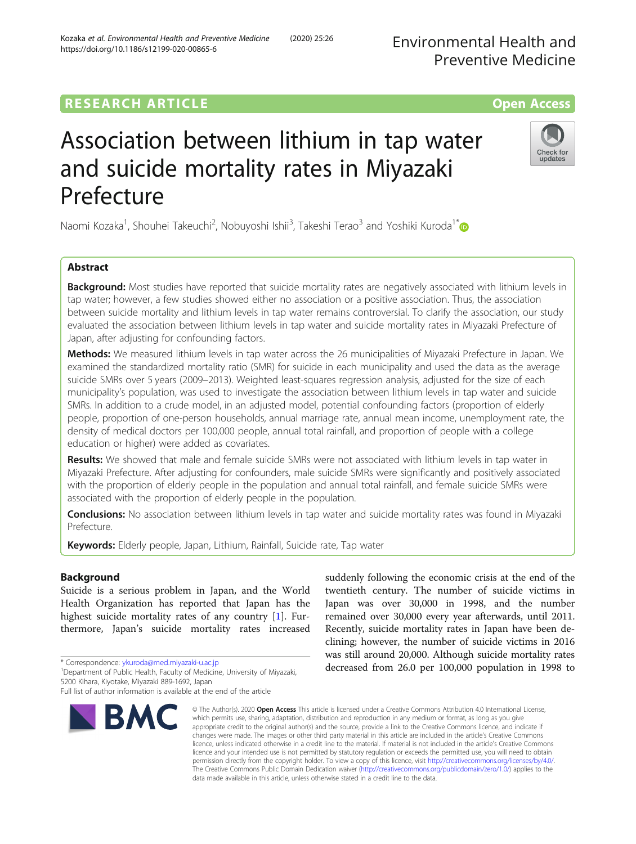## **RESEARCH ARTICLE Example 2014 12:30 The Contract of Contract ACCESS**

# Association between lithium in tap water and suicide mortality rates in Miyazaki Prefecture

Naomi Kozaka<sup>1</sup>, Shouhei Takeuchi<sup>2</sup>, Nobuyoshi Ishii<sup>3</sup>, Takeshi Terao<sup>3</sup> and Yoshiki Kuroda<sup>1[\\*](http://orcid.org/0000-0003-3997-362X)</sup>

## Abstract

**Background:** Most studies have reported that suicide mortality rates are negatively associated with lithium levels in tap water; however, a few studies showed either no association or a positive association. Thus, the association between suicide mortality and lithium levels in tap water remains controversial. To clarify the association, our study evaluated the association between lithium levels in tap water and suicide mortality rates in Miyazaki Prefecture of Japan, after adjusting for confounding factors.

Methods: We measured lithium levels in tap water across the 26 municipalities of Miyazaki Prefecture in Japan. We examined the standardized mortality ratio (SMR) for suicide in each municipality and used the data as the average suicide SMRs over 5 years (2009–2013). Weighted least-squares regression analysis, adjusted for the size of each municipality's population, was used to investigate the association between lithium levels in tap water and suicide SMRs. In addition to a crude model, in an adjusted model, potential confounding factors (proportion of elderly people, proportion of one-person households, annual marriage rate, annual mean income, unemployment rate, the density of medical doctors per 100,000 people, annual total rainfall, and proportion of people with a college education or higher) were added as covariates.

Results: We showed that male and female suicide SMRs were not associated with lithium levels in tap water in Miyazaki Prefecture. After adjusting for confounders, male suicide SMRs were significantly and positively associated with the proportion of elderly people in the population and annual total rainfall, and female suicide SMRs were associated with the proportion of elderly people in the population.

**Conclusions:** No association between lithium levels in tap water and suicide mortality rates was found in Miyazaki Prefecture.

Keywords: Elderly people, Japan, Lithium, Rainfall, Suicide rate, Tap water

### Background

Suicide is a serious problem in Japan, and the World Health Organization has reported that Japan has the highest suicide mortality rates of any country [\[1](#page-6-0)]. Furthermore, Japan's suicide mortality rates increased

\* Correspondence: [ykuroda@med.miyazaki-u.ac.jp](mailto:ykuroda@med.miyazaki-u.ac.jp) <sup>1</sup>

<sup>1</sup>Department of Public Health, Faculty of Medicine, University of Miyazaki, 5200 Kihara, Kiyotake, Miyazaki 889-1692, Japan

## Kozaka et al. Environmental Health and Preventive Medicine (2020) 25:26 https://doi.org/10.1186/s12199-020-00865-6

© The Author(s), 2020 **Open Access** This article is licensed under a Creative Commons Attribution 4.0 International License, which permits use, sharing, adaptation, distribution and reproduction in any medium or format, as long as you give appropriate credit to the original author(s) and the source, provide a link to the Creative Commons licence, and indicate if changes were made. The images or other third party material in this article are included in the article's Creative Commons licence, unless indicated otherwise in a credit line to the material. If material is not included in the article's Creative Commons licence and your intended use is not permitted by statutory regulation or exceeds the permitted use, you will need to obtain permission directly from the copyright holder. To view a copy of this licence, visit [http://creativecommons.org/licenses/by/4.0/.](http://creativecommons.org/licenses/by/4.0/) The Creative Commons Public Domain Dedication waiver [\(http://creativecommons.org/publicdomain/zero/1.0/](http://creativecommons.org/publicdomain/zero/1.0/)) applies to the data made available in this article, unless otherwise stated in a credit line to the data.

suddenly following the economic crisis at the end of the twentieth century. The number of suicide victims in Japan was over 30,000 in 1998, and the number remained over 30,000 every year afterwards, until 2011. Recently, suicide mortality rates in Japan have been declining; however, the number of suicide victims in 2016 was still around 20,000. Although suicide mortality rates decreased from 26.0 per 100,000 population in 1998 to







updates

Full list of author information is available at the end of the article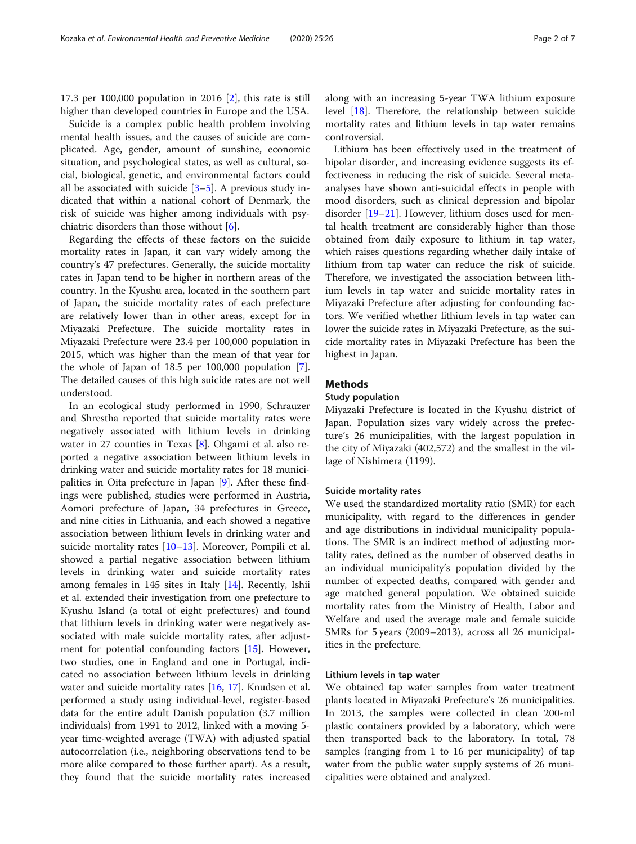17.3 per 100,000 population in 2016 [[2\]](#page-6-0), this rate is still higher than developed countries in Europe and the USA.

Suicide is a complex public health problem involving mental health issues, and the causes of suicide are complicated. Age, gender, amount of sunshine, economic situation, and psychological states, as well as cultural, social, biological, genetic, and environmental factors could all be associated with suicide  $[3-5]$  $[3-5]$  $[3-5]$  $[3-5]$ . A previous study indicated that within a national cohort of Denmark, the risk of suicide was higher among individuals with psychiatric disorders than those without [\[6\]](#page-6-0).

Regarding the effects of these factors on the suicide mortality rates in Japan, it can vary widely among the country's 47 prefectures. Generally, the suicide mortality rates in Japan tend to be higher in northern areas of the country. In the Kyushu area, located in the southern part of Japan, the suicide mortality rates of each prefecture are relatively lower than in other areas, except for in Miyazaki Prefecture. The suicide mortality rates in Miyazaki Prefecture were 23.4 per 100,000 population in 2015, which was higher than the mean of that year for the whole of Japan of 18.5 per 100,000 population [\[7](#page-6-0)]. The detailed causes of this high suicide rates are not well understood.

In an ecological study performed in 1990, Schrauzer and Shrestha reported that suicide mortality rates were negatively associated with lithium levels in drinking water in 27 counties in Texas [\[8](#page-6-0)]. Ohgami et al. also reported a negative association between lithium levels in drinking water and suicide mortality rates for 18 municipalities in Oita prefecture in Japan [[9\]](#page-6-0). After these findings were published, studies were performed in Austria, Aomori prefecture of Japan, 34 prefectures in Greece, and nine cities in Lithuania, and each showed a negative association between lithium levels in drinking water and suicide mortality rates [\[10](#page-6-0)–[13\]](#page-6-0). Moreover, Pompili et al. showed a partial negative association between lithium levels in drinking water and suicide mortality rates among females in 145 sites in Italy [[14\]](#page-6-0). Recently, Ishii et al. extended their investigation from one prefecture to Kyushu Island (a total of eight prefectures) and found that lithium levels in drinking water were negatively associated with male suicide mortality rates, after adjustment for potential confounding factors [[15\]](#page-6-0). However, two studies, one in England and one in Portugal, indicated no association between lithium levels in drinking water and suicide mortality rates [\[16,](#page-6-0) [17\]](#page-6-0). Knudsen et al. performed a study using individual-level, register-based data for the entire adult Danish population (3.7 million individuals) from 1991 to 2012, linked with a moving 5 year time-weighted average (TWA) with adjusted spatial autocorrelation (i.e., neighboring observations tend to be more alike compared to those further apart). As a result, they found that the suicide mortality rates increased along with an increasing 5-year TWA lithium exposure level [[18](#page-6-0)]. Therefore, the relationship between suicide mortality rates and lithium levels in tap water remains controversial.

Lithium has been effectively used in the treatment of bipolar disorder, and increasing evidence suggests its effectiveness in reducing the risk of suicide. Several metaanalyses have shown anti-suicidal effects in people with mood disorders, such as clinical depression and bipolar disorder [[19](#page-6-0)–[21](#page-6-0)]. However, lithium doses used for mental health treatment are considerably higher than those obtained from daily exposure to lithium in tap water, which raises questions regarding whether daily intake of lithium from tap water can reduce the risk of suicide. Therefore, we investigated the association between lithium levels in tap water and suicide mortality rates in Miyazaki Prefecture after adjusting for confounding factors. We verified whether lithium levels in tap water can lower the suicide rates in Miyazaki Prefecture, as the suicide mortality rates in Miyazaki Prefecture has been the highest in Japan.

#### Methods

#### Study population

Miyazaki Prefecture is located in the Kyushu district of Japan. Population sizes vary widely across the prefecture's 26 municipalities, with the largest population in the city of Miyazaki (402,572) and the smallest in the village of Nishimera (1199).

#### Suicide mortality rates

We used the standardized mortality ratio (SMR) for each municipality, with regard to the differences in gender and age distributions in individual municipality populations. The SMR is an indirect method of adjusting mortality rates, defined as the number of observed deaths in an individual municipality's population divided by the number of expected deaths, compared with gender and age matched general population. We obtained suicide mortality rates from the Ministry of Health, Labor and Welfare and used the average male and female suicide SMRs for 5 years (2009–2013), across all 26 municipalities in the prefecture.

#### Lithium levels in tap water

We obtained tap water samples from water treatment plants located in Miyazaki Prefecture's 26 municipalities. In 2013, the samples were collected in clean 200-ml plastic containers provided by a laboratory, which were then transported back to the laboratory. In total, 78 samples (ranging from 1 to 16 per municipality) of tap water from the public water supply systems of 26 municipalities were obtained and analyzed.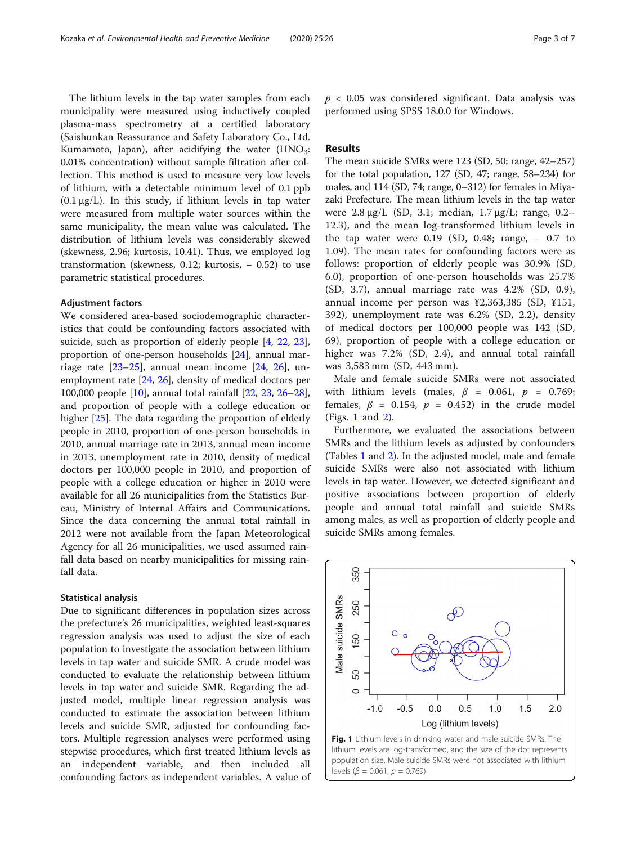The lithium levels in the tap water samples from each municipality were measured using inductively coupled plasma-mass spectrometry at a certified laboratory (Saishunkan Reassurance and Safety Laboratory Co., Ltd. Kumamoto, Japan), after acidifying the water  $(HNO<sub>3</sub>:$ 0.01% concentration) without sample filtration after collection. This method is used to measure very low levels of lithium, with a detectable minimum level of 0.1 ppb  $(0.1 \mu g/L)$ . In this study, if lithium levels in tap water were measured from multiple water sources within the same municipality, the mean value was calculated. The distribution of lithium levels was considerably skewed (skewness, 2.96; kurtosis, 10.41). Thus, we employed log transformation (skewness,  $0.12$ ; kurtosis,  $-0.52$ ) to use parametric statistical procedures.

#### Adjustment factors

We considered area-based sociodemographic characteristics that could be confounding factors associated with suicide, such as proportion of elderly people [\[4,](#page-6-0) [22,](#page-6-0) [23](#page-6-0)], proportion of one-person households [\[24\]](#page-6-0), annual marriage rate  $[23-25]$  $[23-25]$  $[23-25]$ , annual mean income  $[24, 26]$  $[24, 26]$  $[24, 26]$ , unemployment rate [[24](#page-6-0), [26](#page-6-0)], density of medical doctors per 100,000 people [[10](#page-6-0)], annual total rainfall [[22](#page-6-0), [23](#page-6-0), [26](#page-6-0)–[28](#page-6-0)], and proportion of people with a college education or higher [[25\]](#page-6-0). The data regarding the proportion of elderly people in 2010, proportion of one-person households in 2010, annual marriage rate in 2013, annual mean income in 2013, unemployment rate in 2010, density of medical doctors per 100,000 people in 2010, and proportion of people with a college education or higher in 2010 were available for all 26 municipalities from the Statistics Bureau, Ministry of Internal Affairs and Communications. Since the data concerning the annual total rainfall in 2012 were not available from the Japan Meteorological Agency for all 26 municipalities, we used assumed rainfall data based on nearby municipalities for missing rainfall data.

#### Statistical analysis

Due to significant differences in population sizes across the prefecture's 26 municipalities, weighted least-squares regression analysis was used to adjust the size of each population to investigate the association between lithium levels in tap water and suicide SMR. A crude model was conducted to evaluate the relationship between lithium levels in tap water and suicide SMR. Regarding the adjusted model, multiple linear regression analysis was conducted to estimate the association between lithium levels and suicide SMR, adjusted for confounding factors. Multiple regression analyses were performed using stepwise procedures, which first treated lithium levels as an independent variable, and then included confounding factors as independent variables. A value of  $p < 0.05$  was considered significant. Data analysis was performed using SPSS 18.0.0 for Windows.

#### Results

The mean suicide SMRs were 123 (SD, 50; range, 42–257) for the total population, 127 (SD, 47; range, 58–234) for males, and 114 (SD, 74; range, 0–312) for females in Miyazaki Prefecture. The mean lithium levels in the tap water were 2.8 μg/L (SD, 3.1; median, 1.7 μg/L; range, 0.2– 12.3), and the mean log-transformed lithium levels in the tap water were  $0.19$  (SD,  $0.48$ ; range,  $-0.7$  to 1.09). The mean rates for confounding factors were as follows: proportion of elderly people was 30.9% (SD, 6.0), proportion of one-person households was 25.7% (SD, 3.7), annual marriage rate was 4.2% (SD, 0.9), annual income per person was ¥2,363,385 (SD, ¥151, 392), unemployment rate was 6.2% (SD, 2.2), density of medical doctors per 100,000 people was 142 (SD, 69), proportion of people with a college education or higher was 7.2% (SD, 2.4), and annual total rainfall was 3,583 mm (SD, 443 mm).

Male and female suicide SMRs were not associated with lithium levels (males,  $\beta$  = 0.061,  $p$  = 0.769; females,  $\beta = 0.154$ ,  $p = 0.452$ ) in the crude model (Figs. 1 and [2\)](#page-3-0).

Furthermore, we evaluated the associations between SMRs and the lithium levels as adjusted by confounders (Tables [1](#page-3-0) and [2](#page-4-0)). In the adjusted model, male and female suicide SMRs were also not associated with lithium levels in tap water. However, we detected significant and positive associations between proportion of elderly people and annual total rainfall and suicide SMRs among males, as well as proportion of elderly people and suicide SMRs among females.



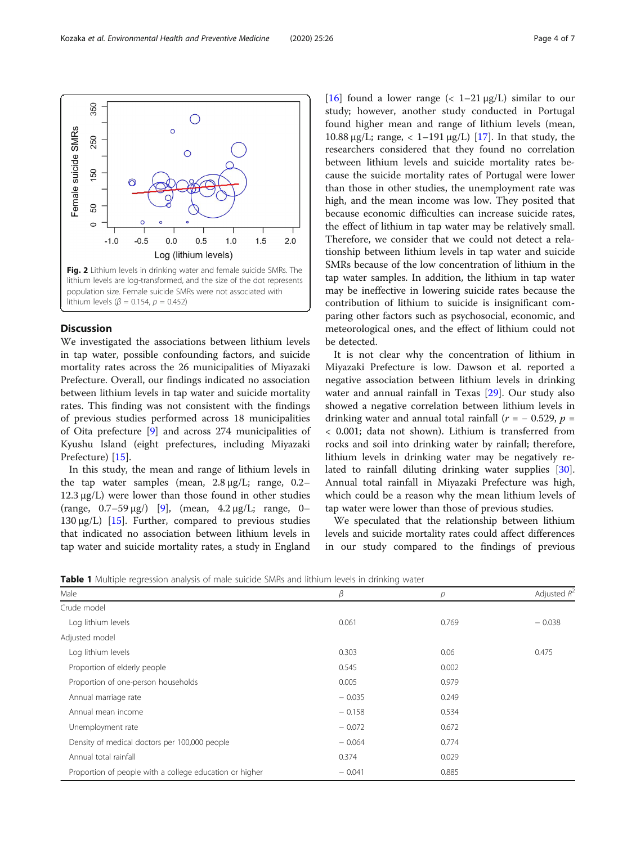<span id="page-3-0"></span>

#### **Discussion**

We investigated the associations between lithium levels in tap water, possible confounding factors, and suicide mortality rates across the 26 municipalities of Miyazaki Prefecture. Overall, our findings indicated no association between lithium levels in tap water and suicide mortality rates. This finding was not consistent with the findings of previous studies performed across 18 municipalities of Oita prefecture [\[9](#page-6-0)] and across 274 municipalities of Kyushu Island (eight prefectures, including Miyazaki Prefecture) [[15\]](#page-6-0).

In this study, the mean and range of lithium levels in the tap water samples (mean, 2.8 μg/L; range, 0.2– 12.3 μg/L) were lower than those found in other studies (range,  $0.7-59 \,\mu g$ ) [\[9\]](#page-6-0), (mean,  $4.2 \,\mu g/L$ ; range, 0-130 μg/L) [\[15](#page-6-0)]. Further, compared to previous studies that indicated no association between lithium levels in tap water and suicide mortality rates, a study in England [[16\]](#page-6-0) found a lower range  $\left($  < 1–21  $\mu$ g/L) similar to our study; however, another study conducted in Portugal found higher mean and range of lithium levels (mean, 10.88 μg/L; range,  $\langle 1-191 \mu g/L \rangle$  [\[17](#page-6-0)]. In that study, the researchers considered that they found no correlation between lithium levels and suicide mortality rates because the suicide mortality rates of Portugal were lower than those in other studies, the unemployment rate was high, and the mean income was low. They posited that because economic difficulties can increase suicide rates, the effect of lithium in tap water may be relatively small. Therefore, we consider that we could not detect a relationship between lithium levels in tap water and suicide SMRs because of the low concentration of lithium in the tap water samples. In addition, the lithium in tap water may be ineffective in lowering suicide rates because the contribution of lithium to suicide is insignificant comparing other factors such as psychosocial, economic, and meteorological ones, and the effect of lithium could not be detected.

It is not clear why the concentration of lithium in Miyazaki Prefecture is low. Dawson et al. reported a negative association between lithium levels in drinking water and annual rainfall in Texas [\[29\]](#page-6-0). Our study also showed a negative correlation between lithium levels in drinking water and annual total rainfall ( $r = -0.529$ ,  $p =$ < 0.001; data not shown). Lithium is transferred from rocks and soil into drinking water by rainfall; therefore, lithium levels in drinking water may be negatively related to rainfall diluting drinking water supplies [\[30](#page-6-0)]. Annual total rainfall in Miyazaki Prefecture was high, which could be a reason why the mean lithium levels of tap water were lower than those of previous studies.

We speculated that the relationship between lithium levels and suicide mortality rates could affect differences in our study compared to the findings of previous

Table 1 Multiple regression analysis of male suicide SMRs and lithium levels in drinking water

| Male                                                    | β        | р     | Adjusted $R^2$ |
|---------------------------------------------------------|----------|-------|----------------|
| Crude model                                             |          |       |                |
| Log lithium levels                                      | 0.061    | 0.769 | $-0.038$       |
| Adjusted model                                          |          |       |                |
| Log lithium levels                                      | 0.303    | 0.06  | 0.475          |
| Proportion of elderly people                            | 0.545    | 0.002 |                |
| Proportion of one-person households                     | 0.005    | 0.979 |                |
| Annual marriage rate                                    | $-0.035$ | 0.249 |                |
| Annual mean income                                      | $-0.158$ | 0.534 |                |
| Unemployment rate                                       | $-0.072$ | 0.672 |                |
| Density of medical doctors per 100,000 people           | $-0.064$ | 0.774 |                |
| Annual total rainfall                                   | 0.374    | 0.029 |                |
| Proportion of people with a college education or higher | $-0.041$ | 0.885 |                |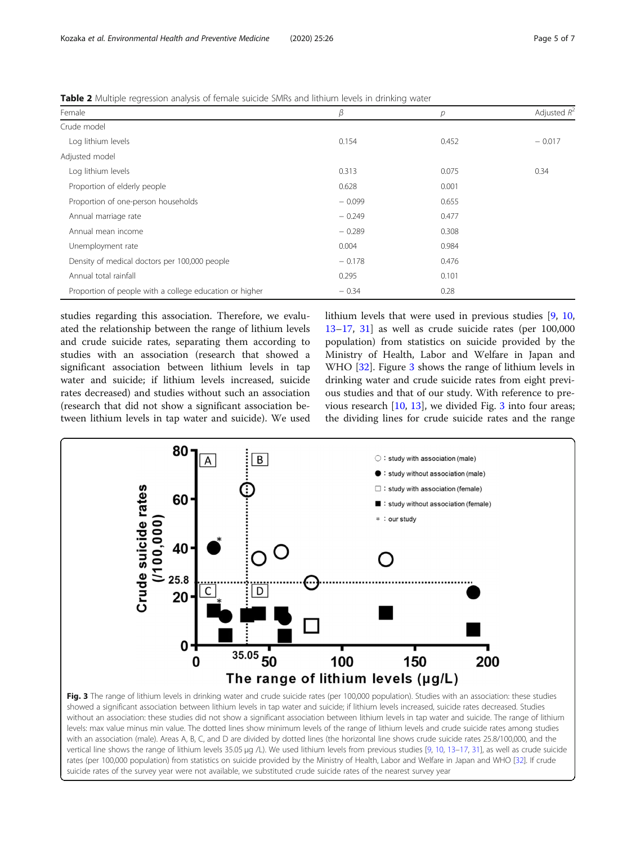<span id="page-4-0"></span>

|  | Table 2 Multiple regression analysis of female suicide SMRs and lithium levels in drinking water |  |
|--|--------------------------------------------------------------------------------------------------|--|
|  |                                                                                                  |  |

| Female                                                  | β        | р     | Adjusted $R^2$ |
|---------------------------------------------------------|----------|-------|----------------|
| Crude model                                             |          |       |                |
| Log lithium levels                                      | 0.154    | 0.452 | $-0.017$       |
| Adjusted model                                          |          |       |                |
| Log lithium levels                                      | 0.313    | 0.075 | 0.34           |
| Proportion of elderly people                            | 0.628    | 0.001 |                |
| Proportion of one-person households                     | $-0.099$ | 0.655 |                |
| Annual marriage rate                                    | $-0.249$ | 0.477 |                |
| Annual mean income                                      | $-0.289$ | 0.308 |                |
| Unemployment rate                                       | 0.004    | 0.984 |                |
| Density of medical doctors per 100,000 people           | $-0.178$ | 0.476 |                |
| Annual total rainfall                                   | 0.295    | 0.101 |                |
| Proportion of people with a college education or higher | $-0.34$  | 0.28  |                |

studies regarding this association. Therefore, we evaluated the relationship between the range of lithium levels and crude suicide rates, separating them according to studies with an association (research that showed a significant association between lithium levels in tap water and suicide; if lithium levels increased, suicide rates decreased) and studies without such an association (research that did not show a significant association between lithium levels in tap water and suicide). We used lithium levels that were used in previous studies [[9,](#page-6-0) [10](#page-6-0), [13](#page-6-0)–[17](#page-6-0), [31\]](#page-6-0) as well as crude suicide rates (per 100,000 population) from statistics on suicide provided by the Ministry of Health, Labor and Welfare in Japan and WHO [\[32](#page-6-0)]. Figure 3 shows the range of lithium levels in drinking water and crude suicide rates from eight previous studies and that of our study. With reference to previous research  $[10, 13]$  $[10, 13]$  $[10, 13]$  $[10, 13]$ , we divided Fig. 3 into four areas; the dividing lines for crude suicide rates and the range



levels: max value minus min value. The dotted lines show minimum levels of the range of lithium levels and crude suicide rates among studies with an association (male). Areas A, B, C, and D are divided by dotted lines (the horizontal line shows crude suicide rates 25.8/100,000, and the vertical line shows the range of lithium levels 35.05 μg /L). We used lithium levels from previous studies [\[9](#page-6-0), [10](#page-6-0), [13](#page-6-0)–[17](#page-6-0), [31\]](#page-6-0), as well as crude suicide rates (per 100,000 population) from statistics on suicide provided by the Ministry of Health, Labor and Welfare in Japan and WHO [\[32\]](#page-6-0). If crude suicide rates of the survey year were not available, we substituted crude suicide rates of the nearest survey year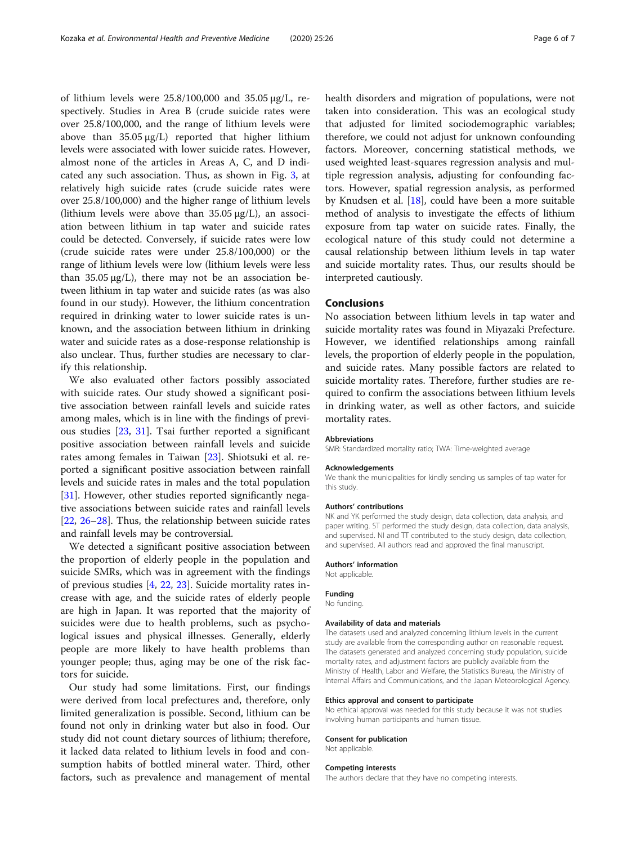of lithium levels were 25.8/100,000 and 35.05 μg/L, respectively. Studies in Area B (crude suicide rates were over 25.8/100,000, and the range of lithium levels were above than  $35.05 \mu g/L$  reported that higher lithium levels were associated with lower suicide rates. However, almost none of the articles in Areas A, C, and D indicated any such association. Thus, as shown in Fig. [3](#page-4-0), at relatively high suicide rates (crude suicide rates were over 25.8/100,000) and the higher range of lithium levels (lithium levels were above than  $35.05 \mu g/L$ ), an association between lithium in tap water and suicide rates could be detected. Conversely, if suicide rates were low (crude suicide rates were under 25.8/100,000) or the range of lithium levels were low (lithium levels were less than  $35.05 \mu g/L$ , there may not be an association between lithium in tap water and suicide rates (as was also found in our study). However, the lithium concentration required in drinking water to lower suicide rates is unknown, and the association between lithium in drinking water and suicide rates as a dose-response relationship is also unclear. Thus, further studies are necessary to clarify this relationship.

We also evaluated other factors possibly associated with suicide rates. Our study showed a significant positive association between rainfall levels and suicide rates among males, which is in line with the findings of previous studies [[23,](#page-6-0) [31\]](#page-6-0). Tsai further reported a significant positive association between rainfall levels and suicide rates among females in Taiwan [\[23](#page-6-0)]. Shiotsuki et al. reported a significant positive association between rainfall levels and suicide rates in males and the total population [[31\]](#page-6-0). However, other studies reported significantly negative associations between suicide rates and rainfall levels [[22,](#page-6-0) [26](#page-6-0)–[28\]](#page-6-0). Thus, the relationship between suicide rates and rainfall levels may be controversial.

We detected a significant positive association between the proportion of elderly people in the population and suicide SMRs, which was in agreement with the findings of previous studies [[4,](#page-6-0) [22,](#page-6-0) [23](#page-6-0)]. Suicide mortality rates increase with age, and the suicide rates of elderly people are high in Japan. It was reported that the majority of suicides were due to health problems, such as psychological issues and physical illnesses. Generally, elderly people are more likely to have health problems than younger people; thus, aging may be one of the risk factors for suicide.

Our study had some limitations. First, our findings were derived from local prefectures and, therefore, only limited generalization is possible. Second, lithium can be found not only in drinking water but also in food. Our study did not count dietary sources of lithium; therefore, it lacked data related to lithium levels in food and consumption habits of bottled mineral water. Third, other factors, such as prevalence and management of mental health disorders and migration of populations, were not taken into consideration. This was an ecological study that adjusted for limited sociodemographic variables; therefore, we could not adjust for unknown confounding factors. Moreover, concerning statistical methods, we used weighted least-squares regression analysis and multiple regression analysis, adjusting for confounding factors. However, spatial regression analysis, as performed by Knudsen et al. [\[18](#page-6-0)], could have been a more suitable method of analysis to investigate the effects of lithium exposure from tap water on suicide rates. Finally, the ecological nature of this study could not determine a causal relationship between lithium levels in tap water and suicide mortality rates. Thus, our results should be interpreted cautiously.

#### Conclusions

No association between lithium levels in tap water and suicide mortality rates was found in Miyazaki Prefecture. However, we identified relationships among rainfall levels, the proportion of elderly people in the population, and suicide rates. Many possible factors are related to suicide mortality rates. Therefore, further studies are required to confirm the associations between lithium levels in drinking water, as well as other factors, and suicide mortality rates.

#### Abbreviations

SMR: Standardized mortality ratio; TWA: Time-weighted average

#### Acknowledgements

We thank the municipalities for kindly sending us samples of tap water for this study.

#### Authors' contributions

NK and YK performed the study design, data collection, data analysis, and paper writing. ST performed the study design, data collection, data analysis, and supervised. NI and TT contributed to the study design, data collection, and supervised. All authors read and approved the final manuscript.

## Authors' information

Not applicable.

#### Funding

No funding.

#### Availability of data and materials

The datasets used and analyzed concerning lithium levels in the current study are available from the corresponding author on reasonable request. The datasets generated and analyzed concerning study population, suicide mortality rates, and adjustment factors are publicly available from the Ministry of Health, Labor and Welfare, the Statistics Bureau, the Ministry of Internal Affairs and Communications, and the Japan Meteorological Agency.

#### Ethics approval and consent to participate

No ethical approval was needed for this study because it was not studies involving human participants and human tissue.

#### Consent for publication Not applicable.

#### Competing interests

The authors declare that they have no competing interests.